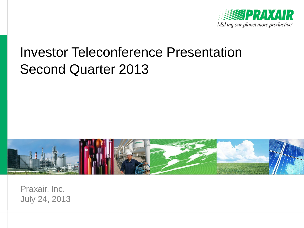

# Investor Teleconference Presentation Second Quarter 2013



Praxair, Inc. July 24, 2013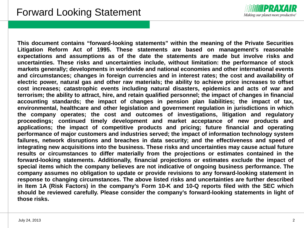

**This document contains "forward-looking statements" within the meaning of the Private Securities Litigation Reform Act of 1995. These statements are based on management's reasonable expectations and assumptions as of the date the statements are made but involve risks and uncertainties. These risks and uncertainties include, without limitation: the performance of stock markets generally; developments in worldwide and national economies and other international events and circumstances; changes in foreign currencies and in interest rates; the cost and availability of electric power, natural gas and other raw materials; the ability to achieve price increases to offset cost increases; catastrophic events including natural disasters, epidemics and acts of war and terrorism; the ability to attract, hire, and retain qualified personnel; the impact of changes in financial accounting standards; the impact of changes in pension plan liabilities; the impact of tax, environmental, healthcare and other legislation and government regulation in jurisdictions in which the company operates; the cost and outcomes of investigations, litigation and regulatory proceedings; continued timely development and market acceptance of new products and applications; the impact of competitive products and pricing; future financial and operating performance of major customers and industries served; the impact of information technology system failures, network disruptions and breaches in data security; and the effectiveness and speed of integrating new acquisitions into the business. These risks and uncertainties may cause actual future results or circumstances to differ materially from the projections or estimates contained in the forward-looking statements. Additionally, financial projections or estimates exclude the impact of special items which the company believes are not indicative of ongoing business performance. The company assumes no obligation to update or provide revisions to any forward-looking statement in response to changing circumstances. The above listed risks and uncertainties are further described in Item 1A (Risk Factors) in the company's Form 10-K and 10-Q reports filed with the SEC which should be reviewed carefully. Please consider the company's forward-looking statements in light of those risks.**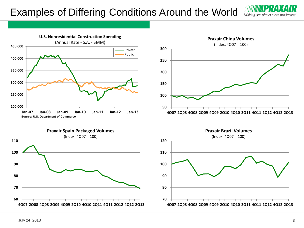## Examples of Differing Conditions Around the World



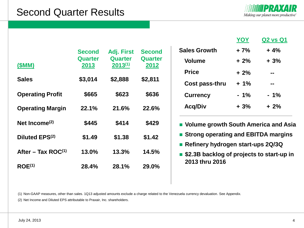# Second Quarter Results

Making our planet more productive"

| (SMM)                      | <b>Second</b><br>Quarter<br>2013 | <b>Adj. First</b><br>Quarter<br>$2013^{(1)}$ | <b>Second</b><br>Quarter<br>2012 |
|----------------------------|----------------------------------|----------------------------------------------|----------------------------------|
| <b>Sales</b>               | \$3,014                          | \$2,888                                      | \$2,811                          |
| <b>Operating Profit</b>    | \$665                            | \$623                                        | \$636                            |
| <b>Operating Margin</b>    | 22.1%                            | 21.6%                                        | 22.6%                            |
| Net Income <sup>(2)</sup>  | \$445                            | \$414                                        | \$429                            |
| Diluted EPS <sup>(2)</sup> | \$1.49                           | \$1.38                                       | \$1.42                           |
| After - Tax $ROC^{(1)}$    | 13.0%                            | 13.3%                                        | 14.5%                            |
| ROE <sup>(1)</sup>         | 28.4%                            | 28.1%                                        | 29.0%                            |

|                     | <b>YOY</b> | <b>Q2 vs Q1</b> |
|---------------------|------------|-----------------|
| <b>Sales Growth</b> | + 7%       | $+4%$           |
| <b>Volume</b>       | $+2\%$     | $+3%$           |
| <b>Price</b>        | $+2\%$     |                 |
| Cost pass-thru      | $+1\%$     |                 |
| <b>Currency</b>     | $-1%$      | $-1%$           |
| <b>Acg/Div</b>      | $+3%$      | $+2%$           |

- **Volume growth South America and Asia**
- **Strong operating and EBITDA margins**
- **Refinery hydrogen start-ups 2Q/3Q**
- \$2.3B backlog of projects to start-up in **2013 thru 2016**

(1) Non-GAAP measures, other than sales. 1Q13 adjusted amounts exclude a charge related to the Venezuela currency devaluation. See Appendix.

(2) Net Income and Diluted EPS attributable to Praxair, Inc. shareholders.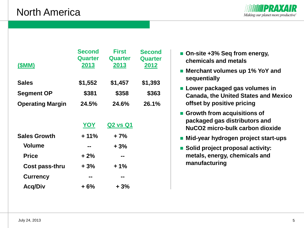## North America



|                         | <b>Second</b><br><b>Quarter</b> | <b>First</b><br>Quarter | <b>Second</b><br><b>Quarter</b> |
|-------------------------|---------------------------------|-------------------------|---------------------------------|
| (SMM)                   | 2013                            | 2013                    | 2012                            |
| <b>Sales</b>            | \$1,552                         | \$1,457                 | \$1,393                         |
| <b>Segment OP</b>       | \$381                           | \$358                   | \$363                           |
| <b>Operating Margin</b> | 24.5%                           | 24.6%                   | 26.1%                           |
|                         |                                 |                         |                                 |
|                         | <b>YOY</b>                      | <b>Q2 vs Q1</b>         |                                 |
| <b>Sales Growth</b>     | $+11%$                          | $+7%$                   |                                 |
| Volume                  | --                              | $+3%$                   |                                 |

| <b>Volume</b>   | --    | $+3%$  |
|-----------------|-------|--------|
| <b>Price</b>    | $+2%$ | --     |
| Cost pass-thru  | $+3%$ | $+1\%$ |
| <b>Currency</b> | --    | --     |
| <b>Acq/Div</b>  | $+6%$ | $+3%$  |

- **On-site +3% Seq from energy, chemicals and metals**
- **Merchant volumes up 1% YoY and sequentially**
- **Lower packaged gas volumes in Canada, the United States and Mexico offset by positive pricing**
- **Growth from acquisitions of packaged gas distributors and NuCO2 micro-bulk carbon dioxide**
- **Mid-year hydrogen project start-ups**
- **Solid project proposal activity: metals, energy, chemicals and manufacturing**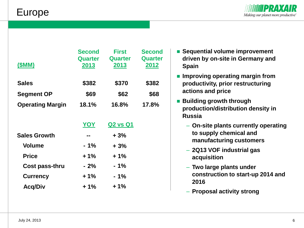# Europe



|                         | <b>Second</b> | <b>First</b>    | <b>Second</b> |
|-------------------------|---------------|-----------------|---------------|
|                         | Quarter       | <b>Quarter</b>  | Quarter       |
| (\$MM)                  | 2013          | 2013            | 2012          |
| <b>Sales</b>            | \$382         | \$370           | \$382         |
| <b>Segment OP</b>       | \$69          | \$62            | \$68          |
| <b>Operating Margin</b> | 18.1%         | 16.8%           | 17.8%         |
|                         |               |                 |               |
|                         | YOY           | <b>Q2 vs Q1</b> |               |
| <b>Sales Growth</b>     | --            | $+3%$           |               |
| <b>Volume</b>           | - 1%          | $+3%$           |               |
| <b>Price</b>            | $+1\%$        | $+1\%$          |               |
| Cost pass-thru          | $-2%$         | $-1%$           |               |
| <b>Currency</b>         | $+1\%$        | $-1%$           |               |
| <b>Acg/Div</b>          | $+1\%$        | + 1%            |               |

- **Sequential volume improvement driven by on-site in Germany and Spain**
- **Improving operating margin from productivity, prior restructuring actions and price**
- **Building growth through production/distribution density in Russia**
	- **On-site plants currently operating to supply chemical and manufacturing customers**
	- **2Q13 VOF industrial gas acquisition**
	- **Two large plants under construction to start-up 2014 and 2016**
	- **Proposal activity strong**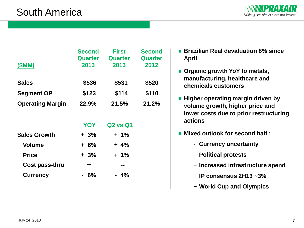

|                         | <b>Second</b>  | <b>First</b>   | <b>Second</b>  |  |
|-------------------------|----------------|----------------|----------------|--|
|                         | <b>Quarter</b> | <b>Quarter</b> | <b>Quarter</b> |  |
| (SMM)                   | 2013           | 2013           | 2012           |  |
|                         |                |                |                |  |
| <b>Sales</b>            | \$536          | \$531          | \$520          |  |
| <b>Segment OP</b>       | \$123          | \$114          | \$110          |  |
| <b>Operating Margin</b> | 22.9%          | 21.5%          | 21.2%          |  |

|                     | YOY     | <b>Q2 vs Q1</b> |
|---------------------|---------|-----------------|
| <b>Sales Growth</b> | $+3%$   | $+1\%$          |
| <b>Volume</b>       | $+ 6\%$ | $+4%$           |
| <b>Price</b>        | $+3%$   | $+1\%$          |
| Cost pass-thru      |         |                 |
| <b>Currency</b>     | - 6%    | $-4\%$          |

- **Brazilian Real devaluation 8% since April**
- **Organic growth YoY to metals, manufacturing, healthcare and chemicals customers**
- **Higher operating margin driven by volume growth, higher price and lower costs due to prior restructuring actions**
- **Mixed outlook for second half :**
	- **Currency uncertainty**
	- **Political protests**
	- + **Increased infrastructure spend**
	- + **IP consensus 2H13 ~3%**
	- + **World Cup and Olympics**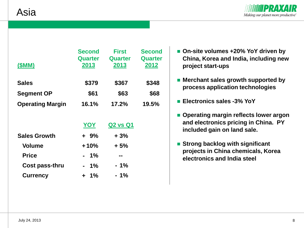

| (SMM)                   | <b>Second</b><br><b>Quarter</b><br>2013 | <b>First</b><br><b>Quarter</b><br>2013 | <b>Second</b><br><b>Quarter</b><br>2012 |  |
|-------------------------|-----------------------------------------|----------------------------------------|-----------------------------------------|--|
| <b>Sales</b>            | \$379                                   | \$367                                  | \$348                                   |  |
| <b>Segment OP</b>       | \$61                                    | \$63                                   | \$68                                    |  |
| <b>Operating Margin</b> | 16.1%                                   | 17.2%                                  | 19.5%                                   |  |

|                     | YOY     | <b>Q2 vs Q1</b> |  |  |
|---------------------|---------|-----------------|--|--|
| <b>Sales Growth</b> | $+ 9\%$ | $+3%$           |  |  |
| <b>Volume</b>       | $+10%$  | $+5%$           |  |  |
| <b>Price</b>        | $-1\%$  | --              |  |  |
| Cost pass-thru      | $-1\%$  | $-1%$           |  |  |
| <b>Currency</b>     | $1\%$   | $-1%$           |  |  |

- **On-site volumes +20% YoY driven by China, Korea and India, including new project start-ups**
- **Merchant sales growth supported by process application technologies**
- **Electronics sales -3% YoY**
- **Operating margin reflects lower argon and electronics pricing in China. PY included gain on land sale.**
- **Strong backlog with significant projects in China chemicals, Korea electronics and India steel**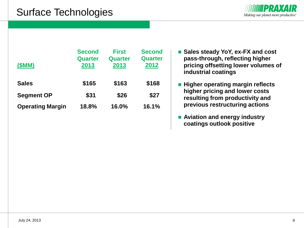### Surface Technologies



|                         | <b>Second</b>  | <b>First</b>   | <b>Second</b>  |  |
|-------------------------|----------------|----------------|----------------|--|
|                         | <b>Quarter</b> | <b>Quarter</b> | <b>Quarter</b> |  |
| (SMM)                   | 2013           | 2013           | 2012           |  |
|                         |                |                |                |  |
| <b>Sales</b>            | \$165          | \$163          | \$168          |  |
|                         |                |                |                |  |
| <b>Segment OP</b>       | \$31           | \$26           | \$27           |  |
| <b>Operating Margin</b> | 18.8%          | 16.0%          | 16.1%          |  |

- Sales steady YoY, ex-FX and cost **pass-through, reflecting higher pricing offsetting lower volumes of industrial coatings**
- **Higher operating margin reflects higher pricing and lower costs resulting from productivity and previous restructuring actions**
- **Aviation and energy industry coatings outlook positive**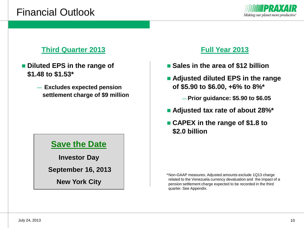

### **Third Quarter 2013 Full Year 2013**

- **Diluted EPS in the range of \$1.48 to \$1.53\***
	- ― **Excludes expected pension settlement charge of \$9 million**

### **Save the Date**

**Investor Day**

**September 16, 2013**

**New York City**

- **Sales in the area of \$12 billion**
- **Adjusted diluted EPS in the range of \$5.90 to \$6.00, +6% to 8%\***
	- ― **Prior guidance: \$5.90 to \$6.05**
- **Adjusted tax rate of about 28%\***
- **CAPEX in the range of \$1.8 to \$2.0 billion**

\*Non-GAAP measures. Adjusted amounts exclude 1Q13 charge related to the Venezuela currency devaluation and the impact of a pension settlement charge expected to be recorded in the third quarter. See Appendix.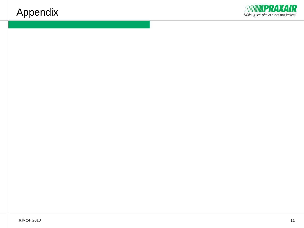# Appendix

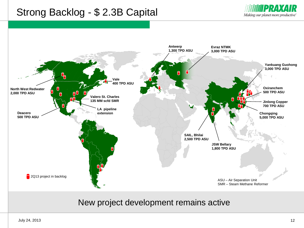### Strong Backlog - \$ 2.3B Capital





### New project development remains active

July 24, 2013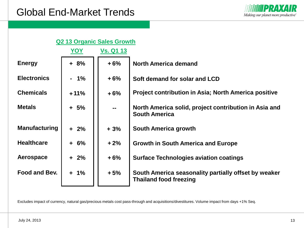

|                      | <b>Q213 Organic Sales Growth</b> |                  |                                                                                       |
|----------------------|----------------------------------|------------------|---------------------------------------------------------------------------------------|
|                      | YOY                              | <b>Vs. Q1 13</b> |                                                                                       |
| <b>Energy</b>        | $+ 8%$                           | $+6%$            | <b>North America demand</b>                                                           |
| <b>Electronics</b>   | $-1\%$                           | $+6%$            | Soft demand for solar and LCD                                                         |
| <b>Chemicals</b>     | $+11%$                           | $+6%$            | <b>Project contribution in Asia; North America positive</b>                           |
| <b>Metals</b>        | $+ 5\%$                          | $\sim$ $\sim$    | North America solid, project contribution in Asia and<br><b>South America</b>         |
| <b>Manufacturing</b> | $+2\%$                           | $+3%$            | <b>South America growth</b>                                                           |
| <b>Healthcare</b>    | $+ 6\%$                          | $+2%$            | <b>Growth in South America and Europe</b>                                             |
| Aerospace            | $+2\%$                           | $+6%$            | <b>Surface Technologies aviation coatings</b>                                         |
| Food and Bev.        | $+ 1\%$                          | $+5%$            | South America seasonality partially offset by weaker<br><b>Thailand food freezing</b> |

Excludes impact of currency, natural gas/precious metals cost pass-through and acquisitions/divestitures. Volume impact from days +1% Seq.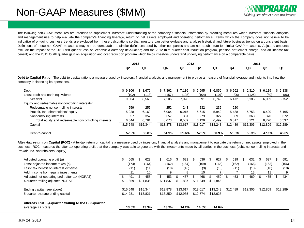

The following non-GAAP measures are intended to supplement investors' understanding of the company's financial information by providing measures which investors, financial analysts and management use to help evaluate the company's financing leverage, return on net assets employed and operating performance. Items which the company does not believe to be indicative of on-going business trends are excluded from these calculations so that investors can better evaluate and analyze historical and future business trends on a consistent basis. Definitions of these non-GAAP measures may not be comparable to similar definitions used by other companies and are not a substitute for similar GAAP measures. Adjusted amounts exclude the impact of the 2013 first quarter loss on Venezuela currency devaluation; and the 2012 third quarter cost reduction program, pension settlement charge, and an income tax benefit; and the 2011 fourth quarter gain on acquisition and cost reduction program which helps investors understand underlying performance on a comparable basis.

| 2012           |    | nn 10 |     | ດດ44 |         |          |           |    |         |
|----------------|----|-------|-----|------|---------|----------|-----------|----|---------|
| - -<br>-<br>чZ | -- |       | u v | ЖÆ   | <br>- - | Q4<br>-- | $ -$<br>w | чc | <br>- - |

Debt to Capital Ratio - The debt-to-capital ratio is a measure used by investors, financial analysts and management to provide a measure of financial leverage and insights into how the company is financing its operations.

| Debt                                                 | \$9,106  | \$8.676  | \$7<br>.362 | 136      | \$6.995  | \$6.856  | 6.562    | \$6,310  | \$ 6.119 | \$5,838  |
|------------------------------------------------------|----------|----------|-------------|----------|----------|----------|----------|----------|----------|----------|
| Less: cash and cash equivalents                      | (102)    | (113)    | (157)       | (108)    | (104)    | (107)    | (90)     | (125)    | (80)     | (86)     |
| Net debt                                             | 9.004    | 8,563    | 7.205       | 7.028    | 6.891    | 6.749    | 6.472    | 6,185    | 6,039    | 5,752    |
| Equity and redeemable noncontrolling interests:      |          |          |             |          |          |          |          |          |          |          |
| Redeemable noncontrolling interests                  | 259      | 255      | 252         | 243      | 232      | 232      | 220      |          |          |          |
| Praxair, Inc. shareholders' equity                   | 5,928    | 6.169    | 6,064       | 6.015    | 5.615    | 5,940    | 5.488    | 5.753    | 6,400    | 6,165    |
| Noncontrolling interests                             | 357      | 357      | 357         | 331      | 279      | 327      | 309      | 368      | 370      | 372      |
| Total equity and redeemable noncontrolling interests | 6.544    | 6,781    | 6.673       | 6.589    | 6.126    | 6.499    | 6.017    | 6.121    | 6.770    | 6,537    |
| Capital                                              | \$15,548 | \$15,344 | \$13,878    | \$13,617 | \$13.017 | \$13.248 | \$12,489 | \$12,306 | \$12,809 | \$12,289 |
| Debt-to-capital                                      | 57.9%    | 55.8%    | 51.9%       | 51.6%    | 52.9%    | 50.9%    | 51.8%    | 50.3%    | 47.1%    | 46.8%    |

After -tax return on Capital (ROC) - After-tax return on capital is a measure used by investors, financial analysts and management to evaluate the return on net assets employed in the business. ROC measures the after-tax operating profit that the company was able to generate with the investments made by all parties in the business (debt, noncontrolling interests and Praxair, Inc. shareholders' equity).

| Adjusted operating profit (a)<br>Less: adjusted income taxes (a)        | 665<br>(174) | 623<br>(164) | 616<br>\$.<br>(162) | 623<br>(164) | 636<br>(169) | 627<br>S<br>(165) | 619<br>ъ<br>(162) | 632<br>(166) | 627<br>(163) | 591<br>(156) |
|-------------------------------------------------------------------------|--------------|--------------|---------------------|--------------|--------------|-------------------|-------------------|--------------|--------------|--------------|
| Less: tax benefit on interest expense                                   | (11)         | (11)         | (10)                | (10)         | (9)          | (10)              | (11)              | (10)         | (10)         | (10)         |
| Add: income from equity investments                                     |              | 10           | 9                   | 8            | 10           |                   |                   | 13           |              | 9            |
| Adjusted net operating profit after-tax (NOPAT)                         | 491          | 458          | 453<br>\$.          | 457          | 468          | 459<br>\$         | 453<br>Ж          | 469          | 465<br>Ж     | 434<br>£.    |
| 4-quarter trailing adjusted NOPAT                                       | \$1,859      | \$1,836      | \$1,837             | . 837<br>\$1 | \$1,849      | \$1,846           |                   |              |              |              |
| Ending capital (see above)                                              | \$15,548     | \$15,344     | \$13,878            | \$13.617     | \$13.017     | \$13,248          | \$12,489          | \$12,306     | \$12,809     | \$12,289     |
| 5-quarter average ending capital                                        | \$14,281     | \$13,821     | \$13,250            | \$12,935     | \$12,774     | \$12,628          |                   |              |              |              |
| After-tax ROC (4-quarter trailing NOPAT / 5-quarter<br>average capital) | 13.0%        | 13.3%        | 13.9%               | 14.2%        | 14.5%        | 14.6%             |                   |              |              |              |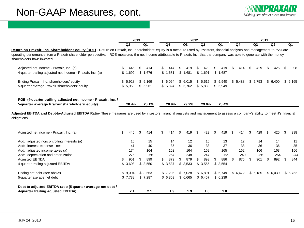### Non-GAAP Measures, cont.



|                                                                                                                                                                                 | 2013<br>2012 |                |                         |                |           |    | 2011           |           |    |                |    |                   |    |                |    |         |    |                |
|---------------------------------------------------------------------------------------------------------------------------------------------------------------------------------|--------------|----------------|-------------------------|----------------|-----------|----|----------------|-----------|----|----------------|----|-------------------|----|----------------|----|---------|----|----------------|
|                                                                                                                                                                                 |              | Q <sub>2</sub> |                         | Q <sub>1</sub> | Q4        |    | Q <sub>3</sub> | Q2        |    | Q <sub>1</sub> |    | Q4                |    | Q <sub>3</sub> |    | Q2      |    | Q <sub>1</sub> |
| Return on Praxair, Inc. Shareholder's equity (ROE) - Return on Praxair, Inc. shareholders' equity is a measure used by investors, financial analysts and management to evaluate |              |                |                         |                |           |    |                |           |    |                |    |                   |    |                |    |         |    |                |
| operating performance from a Praxair shareholder perspective. ROE measures the net income attributable to Praxair, Inc. that the company was able to generate with the money    |              |                |                         |                |           |    |                |           |    |                |    |                   |    |                |    |         |    |                |
| shareholders have invested.                                                                                                                                                     |              |                |                         |                |           |    |                |           |    |                |    |                   |    |                |    |         |    |                |
| Adjusted net income - Praxair, Inc. (a)                                                                                                                                         |              | 445            | ß.                      | 414            |           |    | 419            | 429       | \$ | 419            |    |                   |    | 429            |    |         | £. | 398            |
| 4-quarter trailing adjusted net income - Praxair, Inc. (a)                                                                                                                      |              | \$1,692        | \$                      | 1.676          | \$1.681   |    | \$1,681        | \$1.691   |    | \$1.687        |    |                   |    |                |    |         |    |                |
| Ending Praxair, Inc. shareholders' equity                                                                                                                                       |              | \$5,928        |                         | \$6,169        | \$6,064   | S. | 6,015          | \$5,615   |    | \$5,940        |    | \$5,488           |    | \$5,753        |    | \$6,400 |    | \$6,165        |
| 5-quarter average Praxair shareholders' equity                                                                                                                                  |              | \$5,958        |                         | \$5,961        | \$5,824   |    | \$5,762        | \$5,839   |    | \$5,949        |    |                   |    |                |    |         |    |                |
|                                                                                                                                                                                 |              |                |                         |                |           |    |                |           |    |                |    |                   |    |                |    |         |    |                |
| ROE (4-quarter trailing adjusted net income - Praxair, Inc. /<br>5-quarter average Praxair shareholders' equity)                                                                |              | 28.4%          |                         | 28.1%          | 28.9%     |    | 29.2%          | 29.0%     |    | 28.4%          |    |                   |    |                |    |         |    |                |
|                                                                                                                                                                                 |              |                |                         |                |           |    |                |           |    |                |    |                   |    |                |    |         |    |                |
| Adjusted EBITDA and Debt-to-Adjusted EBITDA Ratio- These measures are used by investors, financial analysts and management to assess a company's ability to meet it's financial |              |                |                         |                |           |    |                |           |    |                |    |                   |    |                |    |         |    |                |
| obligations.                                                                                                                                                                    |              |                |                         |                |           |    |                |           |    |                |    |                   |    |                |    |         |    |                |
|                                                                                                                                                                                 |              |                |                         |                |           |    |                |           |    |                |    |                   |    |                |    |         |    |                |
|                                                                                                                                                                                 |              |                |                         |                |           |    |                |           |    |                |    |                   |    |                |    |         |    |                |
| Adjusted net income - Praxair, Inc. (a)                                                                                                                                         | \$           | 445            | \$                      | 414            | 14        |    | 419            | 429       | S  | 419            | S  |                   |    | 429            | -S | 425     | \$ | 398            |
| Add: adjusted noncontrolling interests (a)                                                                                                                                      |              | 16             |                         | 15             | 14        |    | 12             | 15        |    | 13             |    | $12 \overline{ }$ |    | 14             |    | 14      |    | 11             |
| Add: interest expense - net                                                                                                                                                     |              | 41             |                         | 40             | 35        |    | 36             | 33        |    | 37             |    | 38                |    | 36             |    | 36      |    | 35             |
| Add: adjusted income taxes (a)                                                                                                                                                  |              | 174            |                         | 164            | 162       |    | 164            | 169       |    | 165            |    | 162               |    | 166            |    | 163     |    | 156            |
| Add: depreciation and amortization                                                                                                                                              |              | 275            |                         | 266            | 254       |    | 248            | 247       |    | 252            |    | 249               |    | 256            |    | 254     |    | 244            |
| <b>Adjusted EBITDA</b>                                                                                                                                                          | \$           | 951            | $\sqrt[6]{\frac{1}{2}}$ | 899            | \$<br>879 | \$ | 879            | \$<br>893 | \$ | 886            | \$ | 875               | \$ | 901            | \$ | 892     | \$ | 844            |
|                                                                                                                                                                                 |              |                | \$                      |                |           |    |                |           |    | \$3,554        |    |                   |    |                |    |         |    |                |
| 4-quarter trailing adjusted EBITDA                                                                                                                                              |              | \$3,608        |                         | 3,550          | \$3,537   |    | \$3,533        | \$3,555   |    |                |    |                   |    |                |    |         |    |                |
| Ending net debt (see above)                                                                                                                                                     |              | \$9,004        |                         | \$8,563        | \$7,205   |    | \$7,028        | \$6,891   |    | \$6,749        |    | \$6,472           |    | \$6,185        |    | \$6.039 |    | \$5.752        |
| 5-quarter average net debt                                                                                                                                                      |              | \$7,738        |                         | \$7,287        | \$6,869   |    | \$6,665        | \$6,467   |    | \$6,239        |    |                   |    |                |    |         |    |                |
| Debt-to-adjusted EBITDA ratio (5-quarter average net debt /                                                                                                                     |              |                |                         |                |           |    |                |           |    |                |    |                   |    |                |    |         |    |                |
| 4-quarter trailing adjusted EBITDA)                                                                                                                                             |              | 2.1            |                         | 2.1            | 1.9       |    | 1.9            | 1.8       |    | 1.8            |    |                   |    |                |    |         |    |                |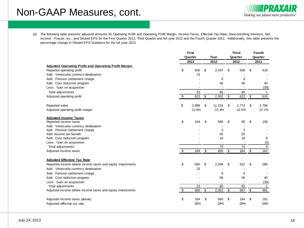(a) The following table presents adjusted amounts for Operating Profit and Operating Profit Margin, Income Taxes, Effective Tax Rate, Noncontrolling Interests, Net income - Praxair, Inc., and Diluted EPS for the First Quarter 2013, Third Quarter and full year 2012 and the Fourth Quarter 2011. Additionally, this table presents the percentage change in Diluted EPS Guidance for the full year 2013.

|                                                                                                  | <b>First</b><br>Quarter |       |    | Year     |      | <b>Third</b><br>Quarter | <b>Fourth</b><br>Quarter |
|--------------------------------------------------------------------------------------------------|-------------------------|-------|----|----------|------|-------------------------|--------------------------|
|                                                                                                  |                         | 2013  |    | 2012     | 2012 |                         | 2011                     |
| <b>Adjusted Operating Profit and Operating Profit Margin</b>                                     |                         |       |    |          |      |                         |                          |
| Reported operating profit                                                                        | \$                      | 600   | \$ | 2,437    | \$   | 558                     | \$<br>618                |
| Add: Venezuela currency devaluation                                                              |                         | 23    |    |          |      |                         |                          |
| Add: Pension settlement charge                                                                   |                         |       |    | 9        |      | 9                       |                          |
| Add: Cost reduction program                                                                      |                         |       |    | 56       |      | 56                      | 40                       |
| Less: Gain on acquisition                                                                        |                         |       |    |          |      |                         | (39)                     |
| <b>Total adjustments</b>                                                                         |                         | 23    |    | 65       |      | 65                      | 1                        |
| Adjusted operating profit                                                                        | \$                      | 623   | \$ | 2,502    | \$   | 623                     | \$<br>619                |
| Reported sales                                                                                   | \$                      | 2,888 | \$ | 11,224   | \$   | 2,774                   | \$<br>2,796              |
| Adjusted operating profit margin                                                                 |                         | 21.6% |    | 22.3%    |      | 22.5%                   | 22.1%                    |
| <b>Adiusted Income Taxes</b>                                                                     |                         |       |    |          |      |                         |                          |
| Reported income taxes                                                                            | \$                      | 164   | \$ | 586      | \$   | 90                      | \$<br>156                |
| Add: Venezuela currency devaluation                                                              |                         |       |    |          |      |                         |                          |
| Add: Pension settlement charge                                                                   |                         |       |    | 3        |      | 3                       |                          |
| Add: Income tax benefit<br>Add: Cost reduction program                                           |                         |       |    | 55<br>16 |      | 55<br>16                | 9                        |
| Less: Gain on acquisition                                                                        |                         |       |    |          |      |                         | (3)                      |
| <b>Total adjustments</b>                                                                         |                         |       |    | 74       |      | 74                      | 6                        |
| Adjusted income taxes                                                                            | \$                      | 164   | \$ | 660      | \$   | 164                     | \$<br>162                |
|                                                                                                  |                         |       |    |          |      |                         |                          |
| <b>Adjusted Effective Tax Rate</b><br>Reported income before income taxes and equity investments | \$                      | 560   | \$ | 2,296    | \$   | 522                     | \$<br>580                |
| Add: Venezuela currency devaluation                                                              |                         | 23    |    |          |      |                         |                          |
| Add: Pension settlement charge                                                                   |                         |       |    | 9        |      | 9                       |                          |
| Add: Cost reduction program                                                                      |                         |       |    | 56       |      | 56                      | 40                       |
| Less: Gain on acquisition                                                                        |                         |       |    |          |      |                         | (39)                     |
| <b>Total adjustments</b>                                                                         |                         | 23    |    | 65       |      | 65                      | 1                        |
| Adjusted income before income taxes and equity investments                                       | \$                      | 583   | \$ | 2,361    | s,   | 587                     | \$<br>581                |
| Adjusted income taxes (above)                                                                    | \$                      | 164   | \$ | 660      | \$   | 164                     | \$<br>162                |
| Adjusted effective tax rate                                                                      |                         | 28%   |    | 28%      |      | 28%                     | 28%                      |
|                                                                                                  |                         |       |    |          |      |                         |                          |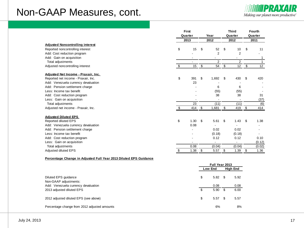### Non-GAAP Measures, cont.

| 2012<br>2013<br>2012<br><b>Adjusted Noncontrolling interest</b><br>\$<br>Reported noncontrolling interest<br>15<br>\$<br>52<br>\$<br>10<br>\$<br>$\overline{2}$<br>$\overline{2}$<br>Add: Cost reduction program<br>Add: Gain on acquisition<br>$\overline{2}$<br>$\overline{2}$<br>Total adjustments<br>$\blacksquare$<br>\$<br>\$<br>54<br>\$<br>12<br>15<br>\$<br>Adjusted noncontrolling interest<br>Adjusted Net Income - Praxair, Inc.<br>\$<br>391<br>\$<br>430<br>\$<br>Reported net income - Praxair, Inc.<br>1,692<br>\$<br>23<br>Add: Venezuela currency devaluation<br>Add: Pension settlement charge<br>6<br>6<br>Less: Income tax benefit<br>(55)<br>(55)<br>38<br>38<br>Add: Cost reduction program<br>Less: Gain on acquisition<br>23<br>Total adjustments<br>(11)<br>(11)<br>\$<br>\$<br>\$<br>\$<br>Adjusted net income - Praxair, Inc.<br>414<br>1,681<br>419<br><b>Adjusted Diluted EPS</b><br>Reported diluted EPS<br>\$<br>1.30<br>\$<br>5.61<br>\$<br>1.43<br>\$<br>Add: Venezuela currency devaluation<br>0.08<br>0.02<br>0.02<br>Add: Pension settlement charge<br>Less: Income tax benefit<br>(0.18)<br>(0.18)<br>0.12<br>0.12<br>Add: Cost reduction program<br>Less: Gain on acquisition<br>$\blacksquare$<br>$\blacksquare$<br>0.08<br>(0.04)<br>(0.04)<br>Total adjustments |  | <b>First</b><br>Quarter |  | Year | <b>Third</b><br>Quarter |  | <b>Fourth</b><br>Quarter |
|-----------------------------------------------------------------------------------------------------------------------------------------------------------------------------------------------------------------------------------------------------------------------------------------------------------------------------------------------------------------------------------------------------------------------------------------------------------------------------------------------------------------------------------------------------------------------------------------------------------------------------------------------------------------------------------------------------------------------------------------------------------------------------------------------------------------------------------------------------------------------------------------------------------------------------------------------------------------------------------------------------------------------------------------------------------------------------------------------------------------------------------------------------------------------------------------------------------------------------------------------------------------------------------------------------------|--|-------------------------|--|------|-------------------------|--|--------------------------|
|                                                                                                                                                                                                                                                                                                                                                                                                                                                                                                                                                                                                                                                                                                                                                                                                                                                                                                                                                                                                                                                                                                                                                                                                                                                                                                           |  |                         |  |      |                         |  | 2011                     |
|                                                                                                                                                                                                                                                                                                                                                                                                                                                                                                                                                                                                                                                                                                                                                                                                                                                                                                                                                                                                                                                                                                                                                                                                                                                                                                           |  |                         |  |      |                         |  |                          |
|                                                                                                                                                                                                                                                                                                                                                                                                                                                                                                                                                                                                                                                                                                                                                                                                                                                                                                                                                                                                                                                                                                                                                                                                                                                                                                           |  |                         |  |      |                         |  | 11                       |
|                                                                                                                                                                                                                                                                                                                                                                                                                                                                                                                                                                                                                                                                                                                                                                                                                                                                                                                                                                                                                                                                                                                                                                                                                                                                                                           |  |                         |  |      |                         |  |                          |
|                                                                                                                                                                                                                                                                                                                                                                                                                                                                                                                                                                                                                                                                                                                                                                                                                                                                                                                                                                                                                                                                                                                                                                                                                                                                                                           |  |                         |  |      |                         |  | 1                        |
|                                                                                                                                                                                                                                                                                                                                                                                                                                                                                                                                                                                                                                                                                                                                                                                                                                                                                                                                                                                                                                                                                                                                                                                                                                                                                                           |  |                         |  |      |                         |  | $\mathbf{1}$             |
|                                                                                                                                                                                                                                                                                                                                                                                                                                                                                                                                                                                                                                                                                                                                                                                                                                                                                                                                                                                                                                                                                                                                                                                                                                                                                                           |  |                         |  |      |                         |  | 12                       |
|                                                                                                                                                                                                                                                                                                                                                                                                                                                                                                                                                                                                                                                                                                                                                                                                                                                                                                                                                                                                                                                                                                                                                                                                                                                                                                           |  |                         |  |      |                         |  |                          |
|                                                                                                                                                                                                                                                                                                                                                                                                                                                                                                                                                                                                                                                                                                                                                                                                                                                                                                                                                                                                                                                                                                                                                                                                                                                                                                           |  |                         |  |      |                         |  | 420                      |
|                                                                                                                                                                                                                                                                                                                                                                                                                                                                                                                                                                                                                                                                                                                                                                                                                                                                                                                                                                                                                                                                                                                                                                                                                                                                                                           |  |                         |  |      |                         |  |                          |
|                                                                                                                                                                                                                                                                                                                                                                                                                                                                                                                                                                                                                                                                                                                                                                                                                                                                                                                                                                                                                                                                                                                                                                                                                                                                                                           |  |                         |  |      |                         |  |                          |
|                                                                                                                                                                                                                                                                                                                                                                                                                                                                                                                                                                                                                                                                                                                                                                                                                                                                                                                                                                                                                                                                                                                                                                                                                                                                                                           |  |                         |  |      |                         |  |                          |
|                                                                                                                                                                                                                                                                                                                                                                                                                                                                                                                                                                                                                                                                                                                                                                                                                                                                                                                                                                                                                                                                                                                                                                                                                                                                                                           |  |                         |  |      |                         |  | 31                       |
|                                                                                                                                                                                                                                                                                                                                                                                                                                                                                                                                                                                                                                                                                                                                                                                                                                                                                                                                                                                                                                                                                                                                                                                                                                                                                                           |  |                         |  |      |                         |  | (37)                     |
|                                                                                                                                                                                                                                                                                                                                                                                                                                                                                                                                                                                                                                                                                                                                                                                                                                                                                                                                                                                                                                                                                                                                                                                                                                                                                                           |  |                         |  |      |                         |  | (6)                      |
|                                                                                                                                                                                                                                                                                                                                                                                                                                                                                                                                                                                                                                                                                                                                                                                                                                                                                                                                                                                                                                                                                                                                                                                                                                                                                                           |  |                         |  |      |                         |  | 414                      |
|                                                                                                                                                                                                                                                                                                                                                                                                                                                                                                                                                                                                                                                                                                                                                                                                                                                                                                                                                                                                                                                                                                                                                                                                                                                                                                           |  |                         |  |      |                         |  |                          |
|                                                                                                                                                                                                                                                                                                                                                                                                                                                                                                                                                                                                                                                                                                                                                                                                                                                                                                                                                                                                                                                                                                                                                                                                                                                                                                           |  |                         |  |      |                         |  | 1.38                     |
|                                                                                                                                                                                                                                                                                                                                                                                                                                                                                                                                                                                                                                                                                                                                                                                                                                                                                                                                                                                                                                                                                                                                                                                                                                                                                                           |  |                         |  |      |                         |  |                          |
|                                                                                                                                                                                                                                                                                                                                                                                                                                                                                                                                                                                                                                                                                                                                                                                                                                                                                                                                                                                                                                                                                                                                                                                                                                                                                                           |  |                         |  |      |                         |  |                          |
|                                                                                                                                                                                                                                                                                                                                                                                                                                                                                                                                                                                                                                                                                                                                                                                                                                                                                                                                                                                                                                                                                                                                                                                                                                                                                                           |  |                         |  |      |                         |  |                          |
|                                                                                                                                                                                                                                                                                                                                                                                                                                                                                                                                                                                                                                                                                                                                                                                                                                                                                                                                                                                                                                                                                                                                                                                                                                                                                                           |  |                         |  |      |                         |  | 0.10                     |
|                                                                                                                                                                                                                                                                                                                                                                                                                                                                                                                                                                                                                                                                                                                                                                                                                                                                                                                                                                                                                                                                                                                                                                                                                                                                                                           |  |                         |  |      |                         |  | (0.12)                   |
|                                                                                                                                                                                                                                                                                                                                                                                                                                                                                                                                                                                                                                                                                                                                                                                                                                                                                                                                                                                                                                                                                                                                                                                                                                                                                                           |  |                         |  |      |                         |  | (0.02)                   |
| Adjusted diluted EPS<br>\$<br>\$<br>\$<br>1.38<br>5.57<br>1.39                                                                                                                                                                                                                                                                                                                                                                                                                                                                                                                                                                                                                                                                                                                                                                                                                                                                                                                                                                                                                                                                                                                                                                                                                                            |  |                         |  |      |                         |  | 1.36                     |

#### **Percentage Change in Adjusted Full Year 2013 Diluted EPS Guidance**

|                                                                  | Full Year 2013 |              |      |                 |  |  |  |
|------------------------------------------------------------------|----------------|--------------|------|-----------------|--|--|--|
|                                                                  |                | Low End      |      | <b>High End</b> |  |  |  |
| Diluted EPS guidance<br>Non-GAAP adjustments:                    | \$             | 5.82         | - \$ | 5.92            |  |  |  |
| Add: Venezuela currency devaluation<br>2013 adjusted diluted EPS | \$             | 0.08<br>5.90 | \$   | 0.08<br>6.00    |  |  |  |
| 2012 adjusted diluted EPS (see above)                            | \$             | 5.57         | - \$ | 5.57            |  |  |  |
| Percentage change from 2012 adjusted amounts                     |                | 6%           |      | 8%              |  |  |  |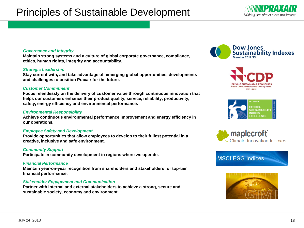## Principles of Sustainable Development



#### *Governance and Integrity*

**Maintain strong systems and a culture of global corporate governance, compliance, ethics, human rights, integrity and accountability.** 

### *Strategic Leadership*

**Stay current with, and take advantage of, emerging global opportunities, developments and challenges to position Praxair for the future.**

#### *Customer Commitment*

**Focus relentlessly on the delivery of customer value through continuous innovation that helps our customers enhance their product quality, service, reliability, productivity, safety, energy efficiency and environmental performance.** 

### *Environmental Responsibility*

**Achieve continuous environmental performance improvement and energy efficiency in our operations.** 

#### *Employee Safety and Development*

**Provide opportunities that allow employees to develop to their fullest potential in a creative, inclusive and safe environment.** 

#### *Community Support*

**Participate in community development in regions where we operate.** 

#### *Financial Performance*

**Maintain year-on-year recognition from shareholders and stakeholders for top-tier financial performance.**

#### *Stakeholder Engagement and Communication*

**Partner with internal and external stakeholders to achieve a strong, secure and sustainable society, economy and environment.**









### **MSCI ESG Indices**